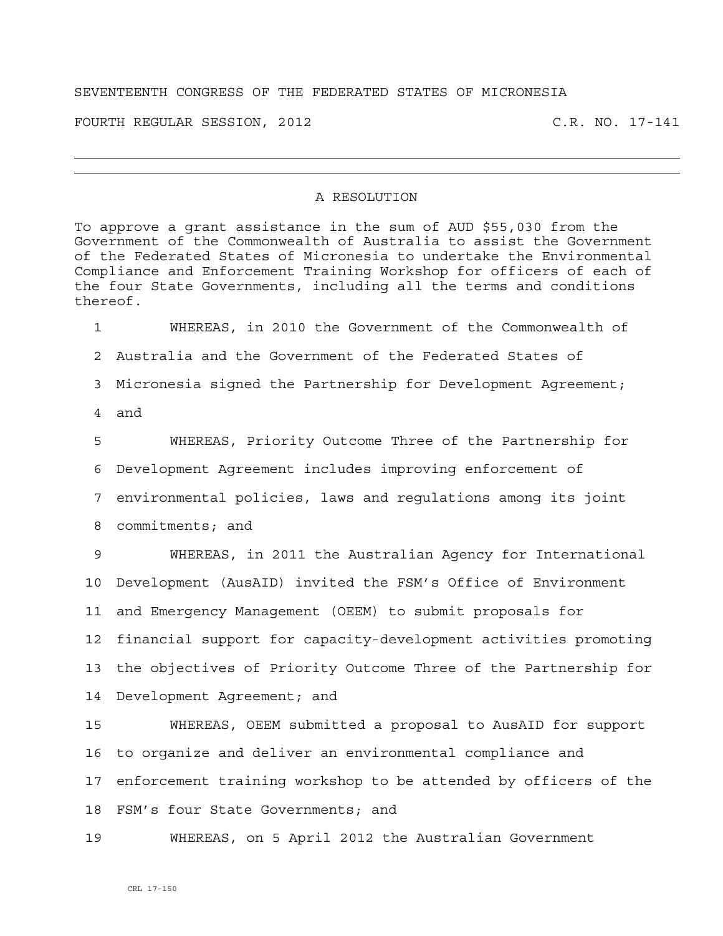## SEVENTEENTH CONGRESS OF THE FEDERATED STATES OF MICRONESIA

FOURTH REGULAR SESSION, 2012 C.R. NO. 17-141

## A RESOLUTION

To approve a grant assistance in the sum of AUD \$55,030 from the Government of the Commonwealth of Australia to assist the Government of the Federated States of Micronesia to undertake the Environmental Compliance and Enforcement Training Workshop for officers of each of the four State Governments, including all the terms and conditions thereof.

1 WHEREAS, in 2010 the Government of the Commonwealth of 2 Australia and the Government of the Federated States of 3 Micronesia signed the Partnership for Development Agreement; 4 and

5 WHEREAS, Priority Outcome Three of the Partnership for 6 Development Agreement includes improving enforcement of 7 environmental policies, laws and regulations among its joint 8 commitments; and

9 WHEREAS, in 2011 the Australian Agency for International 10 Development (AusAID) invited the FSM's Office of Environment 11 and Emergency Management (OEEM) to submit proposals for 12 financial support for capacity-development activities promoting 13 the objectives of Priority Outcome Three of the Partnership for 14 Development Agreement; and

15 WHEREAS, OEEM submitted a proposal to AusAID for support 16 to organize and deliver an environmental compliance and 17 enforcement training workshop to be attended by officers of the 18 FSM's four State Governments; and

19 WHEREAS, on 5 April 2012 the Australian Government